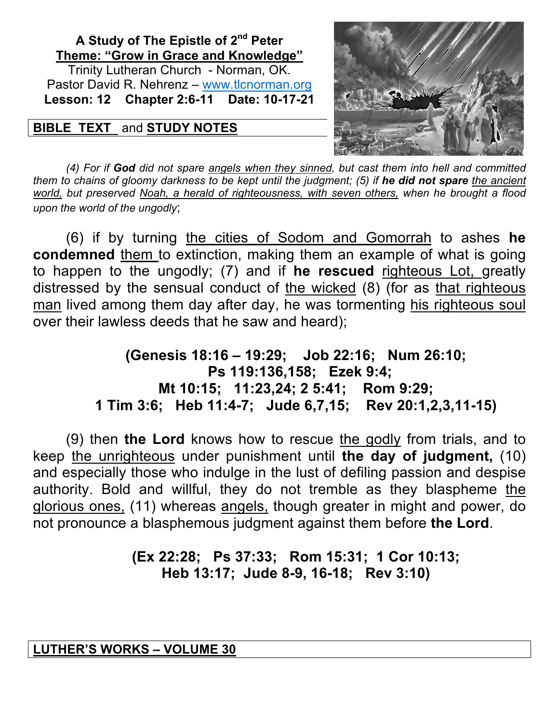## **A Study of The Epistle of 2nd Peter Theme: "Grow in Grace and Knowledge"** Trinity Lutheran Church - Norman, OK. Pastor David R. Nehrenz – www.tlcnorman.org **Lesson: 12 Chapter 2:6-11 Date: 10-17-21**

# **BIBLE TEXT** and **STUDY NOTES**



*(4) For if God did not spare angels when they sinned, but cast them into hell and committed them to chains of gloomy darkness to be kept until the judgment; (5) if he did not spare the ancient world, but preserved Noah, a herald of righteousness, with seven others, when he brought a flood upon the world of the ungodly*;

(6) if by turning the cities of Sodom and Gomorrah to ashes **he condemned** them to extinction, making them an example of what is going to happen to the ungodly; (7) and if **he rescued** righteous Lot, greatly distressed by the sensual conduct of the wicked (8) (for as that righteous man lived among them day after day, he was tormenting his righteous soul over their lawless deeds that he saw and heard);

> **(Genesis 18:16 – 19:29; Job 22:16; Num 26:10; Ps 119:136,158; Ezek 9:4; Mt 10:15; 11:23,24; 2 5:41; Rom 9:29; 1 Tim 3:6; Heb 11:4-7; Jude 6,7,15; Rev 20:1,2,3,11-15)**

(9) then **the Lord** knows how to rescue the godly from trials, and to keep the unrighteous under punishment until **the day of judgment,** (10) and especially those who indulge in the lust of defiling passion and despise authority. Bold and willful, they do not tremble as they blaspheme the glorious ones, (11) whereas angels, though greater in might and power, do not pronounce a blasphemous judgment against them before **the Lord**.

# **(Ex 22:28; Ps 37:33; Rom 15:31; 1 Cor 10:13; Heb 13:17; Jude 8-9, 16-18; Rev 3:10)**